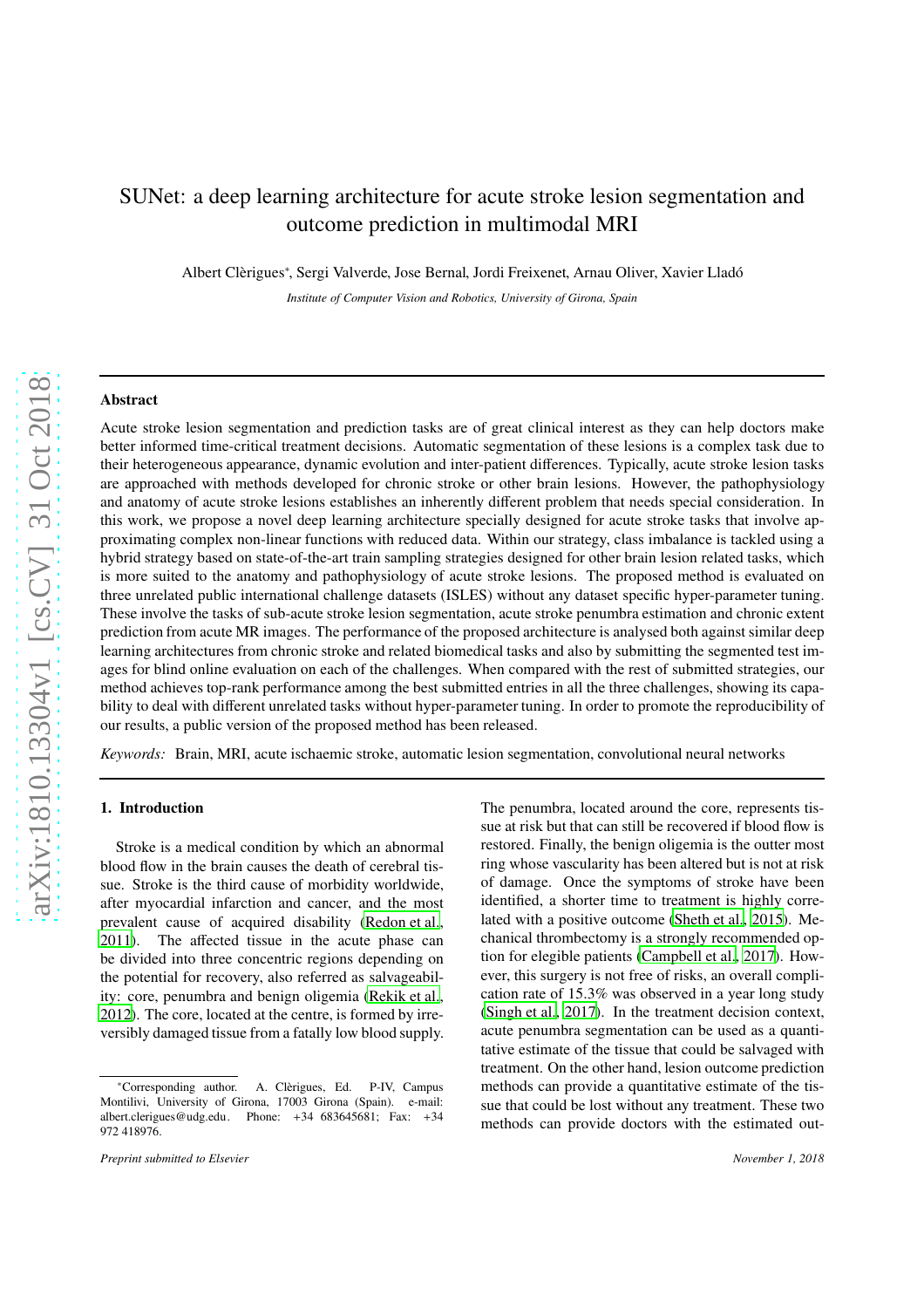# SUNet: a deep learning architecture for acute stroke lesion segmentation and outcome prediction in multimodal MRI

Albert Clèrigues<sup>∗</sup>, Sergi Valverde, Jose Bernal, Jordi Freixenet, Arnau Oliver, Xavier Lladó

*Institute of Computer Vision and Robotics, University of Girona, Spain*

### Abstract

Acute stroke lesion segmentation and prediction tasks are of great clinical interest as they can help doctors make better informed time-critical treatment decisions. Automatic segmentation of these lesions is a complex task due to their heterogeneous appearance, dynamic evolution and inter-patient differences. Typically, acute stroke lesion tasks are approached with methods developed for chronic stroke or other brain lesions. However, the pathophysiology and anatomy of acute stroke lesions establishes an inherently different problem that needs special consideration. In this work, we propose a novel deep learning architecture specially designed for acute stroke tasks that involve approximating complex non-linear functions with reduced data. Within our strategy, class imbalance is tackled using a hybrid strategy based on state-of-the-art train sampling strategies designed for other brain lesion related tasks, which is more suited to the anatomy and pathophysiology of acute stroke lesions. The proposed method is evaluated on three unrelated public international challenge datasets (ISLES) without any dataset specific hyper-parameter tuning. These involve the tasks of sub-acute stroke lesion segmentation, acute stroke penumbra estimation and chronic extent prediction from acute MR images. The performance of the proposed architecture is analysed both against similar deep learning architectures from chronic stroke and related biomedical tasks and also by submitting the segmented test images for blind online evaluation on each of the challenges. When compared with the rest of submitted strategies, our method achieves top-rank performance among the best submitted entries in all the three challenges, showing its capability to deal with different unrelated tasks without hyper-parameter tuning. In order to promote the reproducibility of our results, a public version of the proposed method has been released.

*Keywords:* Brain, MRI, acute ischaemic stroke, automatic lesion segmentation, convolutional neural networks

# 1. Introduction

Stroke is a medical condition by which an abnormal blood flow in the brain causes the death of cerebral tissue. Stroke is the third cause of morbidity worldwide, after myocardial infarction and cancer, and the most prevalent cause of acquired disability [\(Redon et al.](#page-12-0), [2011\)](#page-12-0). The affected tissue in the acute phase can be divided into three concentric regions depending on the potential for recovery, also referred as salvageability: core, penumbra and benign oligemia [\(Rekik et al.](#page-12-1), [2012\)](#page-12-1). The core, located at the centre, is formed by irreversibly damaged tissue from a fatally low blood supply.

lated with a positive outcome [\(Sheth et al., 2015](#page-12-2)). Mechanical thrombectomy is a strongly recommended option for elegible patients [\(Campbell et al., 2017\)](#page-11-0). However, this surgery is not free of risks, an overall complication rate of 15.3% was observed in a year long study [\(Singh et al.](#page-12-3), [2017\)](#page-12-3). In the treatment decision context, acute penumbra segmentation can be used as a quantitative estimate of the tissue that could be salvaged with treatment. On the other hand, lesion outcome prediction methods can provide a quantitative estimate of the tissue that could be lost without any treatment. These two methods can provide doctors with the estimated out-

The penumbra, located around the core, represents tissue at risk but that can still be recovered if blood flow is restored. Finally, the benign oligemia is the outter most ring whose vascularity has been altered but is not at risk of damage. Once the symptoms of stroke have been identified, a shorter time to treatment is highly corre-

<sup>∗</sup>Corresponding author. A. Cl`erigues, Ed. P-IV, Campus Montilivi, University of Girona, 17003 Girona (Spain). e-mail: albert.clerigues@udg.edu. Phone: +34 683645681; Fax: +34 972 418976.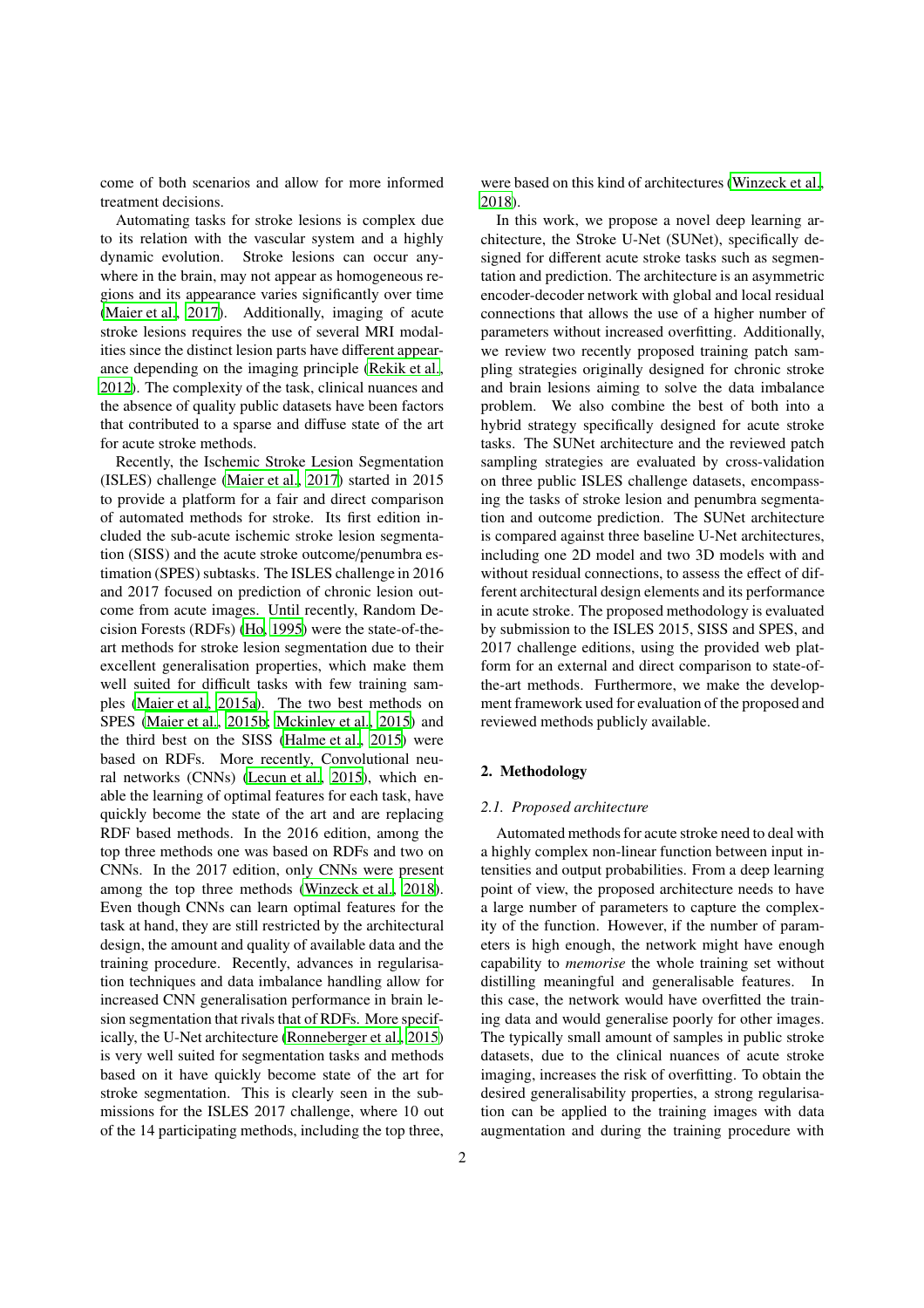come of both scenarios and allow for more informed treatment decisions.

Automating tasks for stroke lesions is complex due to its relation with the vascular system and a highly dynamic evolution. Stroke lesions can occur anywhere in the brain, may not appear as homogeneous regions and its appearance varies significantly over time [\(Maier et al., 2017\)](#page-12-4). Additionally, imaging of acute stroke lesions requires the use of several MRI modalities since the distinct lesion parts have different appearance depending on the imaging principle [\(Rekik et al.](#page-12-1), [2012\)](#page-12-1). The complexity of the task, clinical nuances and the absence of quality public datasets have been factors that contributed to a sparse and diffuse state of the art for acute stroke methods.

Recently, the Ischemic Stroke Lesion Segmentation (ISLES) challenge [\(Maier et al., 2017\)](#page-12-4) started in 2015 to provide a platform for a fair and direct comparison of automated methods for stroke. Its first edition included the sub-acute ischemic stroke lesion segmentation (SISS) and the acute stroke outcome/penumbra estimation (SPES) subtasks. The ISLES challenge in 2016 and 2017 focused on prediction of chronic lesion outcome from acute images. Until recently, Random Decision Forests (RDFs) [\(Ho, 1995\)](#page-12-5) were the state-of-theart methods for stroke lesion segmentation due to their excellent generalisation properties, which make them well suited for difficult tasks with few training samples [\(Maier et al., 2015a\)](#page-12-6). The two best methods on SPES [\(Maier et al.](#page-12-7), [2015b;](#page-12-7) [Mckinley et al., 2015](#page-12-8)) and the third best on the SISS [\(Halme et al., 2015\)](#page-12-9) were based on RDFs. More recently, Convolutional neural networks (CNNs) [\(Lecun et al., 2015\)](#page-12-10), which enable the learning of optimal features for each task, have quickly become the state of the art and are replacing RDF based methods. In the 2016 edition, among the top three methods one was based on RDFs and two on CNNs. In the 2017 edition, only CNNs were present among the top three methods [\(Winzeck et al., 2018\)](#page-12-11). Even though CNNs can learn optimal features for the task at hand, they are still restricted by the architectural design, the amount and quality of available data and the training procedure. Recently, advances in regularisation techniques and data imbalance handling allow for increased CNN generalisation performance in brain lesion segmentation that rivals that of RDFs. More specifically, the U-Net architecture [\(Ronneberger et al., 2015\)](#page-12-12) is very well suited for segmentation tasks and methods based on it have quickly become state of the art for stroke segmentation. This is clearly seen in the submissions for the ISLES 2017 challenge, where 10 out of the 14 participating methods, including the top three, were based on this kind of architectures [\(Winzeck et al.](#page-12-11), [2018\)](#page-12-11).

In this work, we propose a novel deep learning architecture, the Stroke U-Net (SUNet), specifically designed for different acute stroke tasks such as segmentation and prediction. The architecture is an asymmetric encoder-decoder network with global and local residual connections that allows the use of a higher number of parameters without increased overfitting. Additionally, we review two recently proposed training patch sampling strategies originally designed for chronic stroke and brain lesions aiming to solve the data imbalance problem. We also combine the best of both into a hybrid strategy specifically designed for acute stroke tasks. The SUNet architecture and the reviewed patch sampling strategies are evaluated by cross-validation on three public ISLES challenge datasets, encompassing the tasks of stroke lesion and penumbra segmentation and outcome prediction. The SUNet architecture is compared against three baseline U-Net architectures, including one 2D model and two 3D models with and without residual connections, to assess the effect of different architectural design elements and its performance in acute stroke. The proposed methodology is evaluated by submission to the ISLES 2015, SISS and SPES, and 2017 challenge editions, using the provided web platform for an external and direct comparison to state-ofthe-art methods. Furthermore, we make the development framework used for evaluation of the proposed and reviewed methods publicly available.

# 2. Methodology

### *2.1. Proposed architecture*

Automated methods for acute stroke need to deal with a highly complex non-linear function between input intensities and output probabilities. From a deep learning point of view, the proposed architecture needs to have a large number of parameters to capture the complexity of the function. However, if the number of parameters is high enough, the network might have enough capability to *memorise* the whole training set without distilling meaningful and generalisable features. In this case, the network would have overfitted the training data and would generalise poorly for other images. The typically small amount of samples in public stroke datasets, due to the clinical nuances of acute stroke imaging, increases the risk of overfitting. To obtain the desired generalisability properties, a strong regularisation can be applied to the training images with data augmentation and during the training procedure with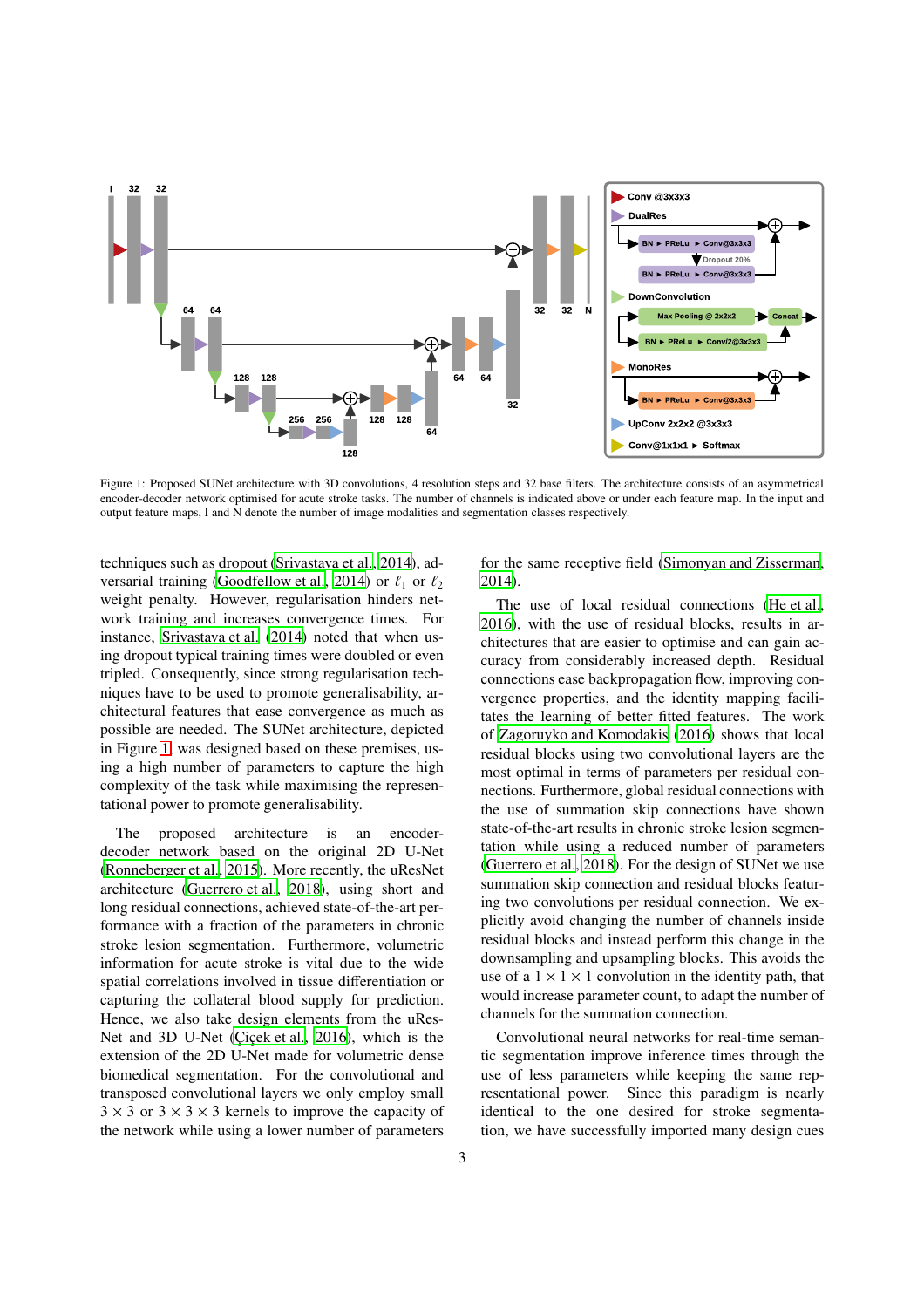<span id="page-2-0"></span>

Figure 1: Proposed SUNet architecture with 3D convolutions, 4 resolution steps and 32 base filters. The architecture consists of an asymmetrical encoder-decoder network optimised for acute stroke tasks. The number of channels is indicated above or under each feature map. In the input and output feature maps, I and N denote the number of image modalities and segmentation classes respectively.

techniques such as dropout [\(Srivastava et al., 2014\)](#page-12-13), ad-versarial training [\(Goodfellow et al.](#page-12-14), [2014](#page-12-14)) or  $\ell_1$  or  $\ell_2$ weight penalty. However, regularisation hinders network training and increases convergence times. For instance, [Srivastava et al. \(2014\)](#page-12-13) noted that when using dropout typical training times were doubled or even tripled. Consequently, since strong regularisation techniques have to be used to promote generalisability, architectural features that ease convergence as much as possible are needed. The SUNet architecture, depicted in Figure [1,](#page-2-0) was designed based on these premises, using a high number of parameters to capture the high complexity of the task while maximising the representational power to promote generalisability.

The proposed architecture is an encoderdecoder network based on the original 2D U-Net [\(Ronneberger et al., 2015](#page-12-12)). More recently, the uResNet architecture [\(Guerrero et al.](#page-12-15), [2018\)](#page-12-15), using short and long residual connections, achieved state-of-the-art performance with a fraction of the parameters in chronic stroke lesion segmentation. Furthermore, volumetric information for acute stroke is vital due to the wide spatial correlations involved in tissue differentiation or capturing the collateral blood supply for prediction. Hence, we also take design elements from the uRes-Net and 3D U-Net (Cicek et al., [2016](#page-11-1)), which is the extension of the 2D U-Net made for volumetric dense biomedical segmentation. For the convolutional and transposed convolutional layers we only employ small  $3 \times 3$  or  $3 \times 3 \times 3$  kernels to improve the capacity of the network while using a lower number of parameters for the same receptive field [\(Simonyan and Zisserman](#page-12-16), [2014\)](#page-12-16).

The use of local residual connections [\(He et al.](#page-12-17), [2016\)](#page-12-17), with the use of residual blocks, results in architectures that are easier to optimise and can gain accuracy from considerably increased depth. Residual connections ease backpropagation flow, improving convergence properties, and the identity mapping facilitates the learning of better fitted features. The work of [Zagoruyko and Komodakis \(2016](#page-12-18)) shows that local residual blocks using two convolutional layers are the most optimal in terms of parameters per residual connections. Furthermore, global residual connections with the use of summation skip connections have shown state-of-the-art results in chronic stroke lesion segmentation while using a reduced number of parameters [\(Guerrero et al., 2018\)](#page-12-15). For the design of SUNet we use summation skip connection and residual blocks featuring two convolutions per residual connection. We explicitly avoid changing the number of channels inside residual blocks and instead perform this change in the downsampling and upsampling blocks. This avoids the use of a  $1 \times 1 \times 1$  convolution in the identity path, that would increase parameter count, to adapt the number of channels for the summation connection.

Convolutional neural networks for real-time semantic segmentation improve inference times through the use of less parameters while keeping the same representational power. Since this paradigm is nearly identical to the one desired for stroke segmentation, we have successfully imported many design cues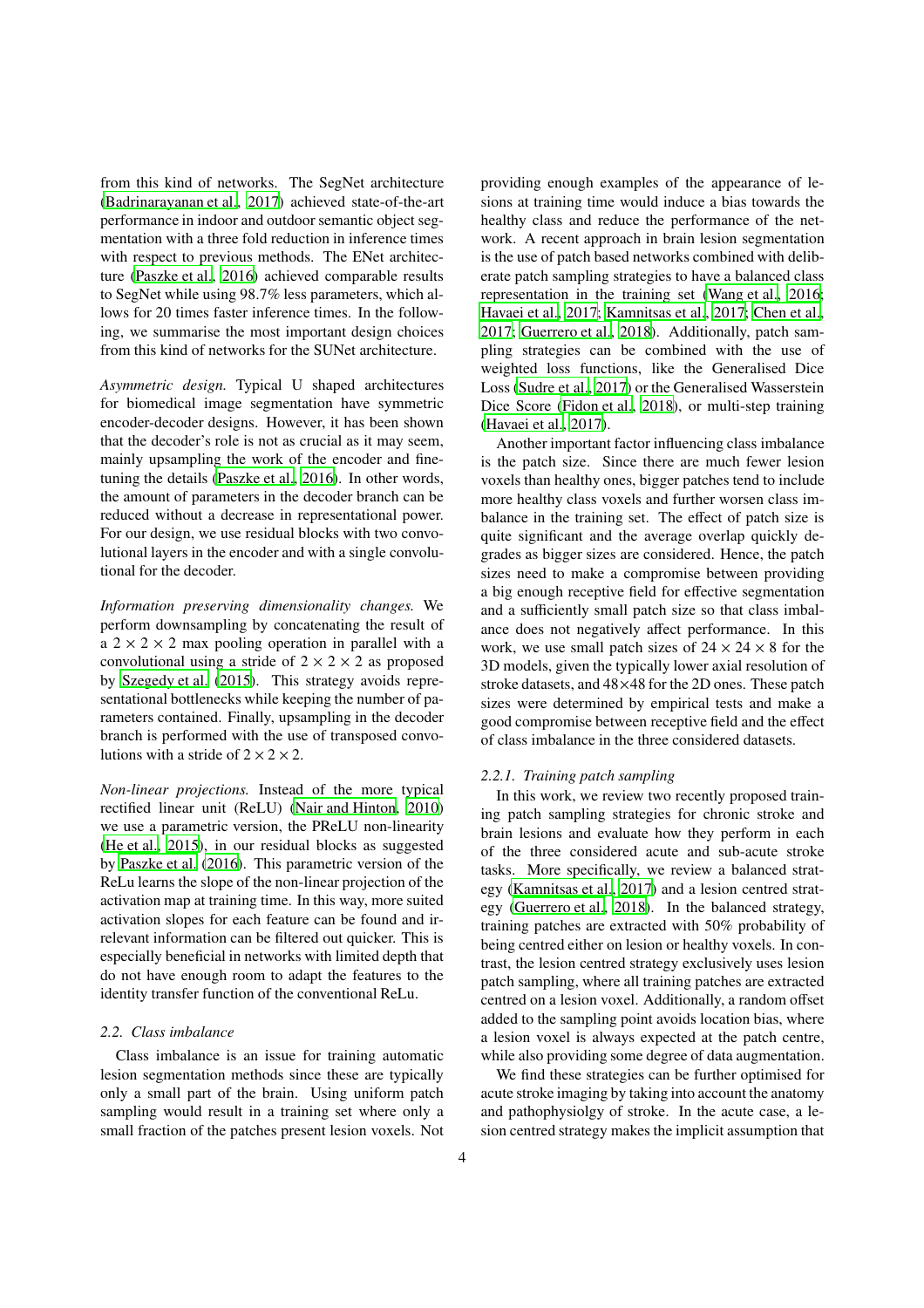from this kind of networks. The SegNet architecture [\(Badrinarayanan et al., 2017\)](#page-11-2) achieved state-of-the-art performance in indoor and outdoor semantic object segmentation with a three fold reduction in inference times with respect to previous methods. The ENet architecture [\(Paszke et al., 2016\)](#page-12-19) achieved comparable results to SegNet while using 98.7% less parameters, which allows for 20 times faster inference times. In the following, we summarise the most important design choices from this kind of networks for the SUNet architecture.

*Asymmetric design.* Typical U shaped architectures for biomedical image segmentation have symmetric encoder-decoder designs. However, it has been shown that the decoder's role is not as crucial as it may seem, mainly upsampling the work of the encoder and finetuning the details [\(Paszke et al.](#page-12-19), [2016\)](#page-12-19). In other words, the amount of parameters in the decoder branch can be reduced without a decrease in representational power. For our design, we use residual blocks with two convolutional layers in the encoder and with a single convolutional for the decoder.

*Information preserving dimensionality changes.* We perform downsampling by concatenating the result of a  $2 \times 2 \times 2$  max pooling operation in parallel with a convolutional using a stride of  $2 \times 2 \times 2$  as proposed by [Szegedy et al. \(2015\)](#page-12-20). This strategy avoids representational bottlenecks while keeping the number of parameters contained. Finally, upsampling in the decoder branch is performed with the use of transposed convolutions with a stride of  $2 \times 2 \times 2$ .

*Non-linear projections.* Instead of the more typical rectified linear unit (ReLU) [\(Nair and Hinton, 2010\)](#page-12-21) we use a parametric version, the PReLU non-linearity [\(He et al.](#page-12-22), [2015\)](#page-12-22), in our residual blocks as suggested by [Paszke et al. \(2016\)](#page-12-19). This parametric version of the ReLu learns the slope of the non-linear projection of the activation map at training time. In this way, more suited activation slopes for each feature can be found and irrelevant information can be filtered out quicker. This is especially beneficial in networks with limited depth that do not have enough room to adapt the features to the identity transfer function of the conventional ReLu.

### <span id="page-3-0"></span>*2.2. Class imbalance*

Class imbalance is an issue for training automatic lesion segmentation methods since these are typically only a small part of the brain. Using uniform patch sampling would result in a training set where only a small fraction of the patches present lesion voxels. Not providing enough examples of the appearance of lesions at training time would induce a bias towards the healthy class and reduce the performance of the network. A recent approach in brain lesion segmentation is the use of patch based networks combined with deliberate patch sampling strategies to have a balanced class representation in the training set [\(Wang et al., 2016](#page-12-23); [Havaei et al.](#page-12-24), [2017;](#page-12-24) [Kamnitsas et al.](#page-12-25), [2017;](#page-12-25) [Chen et al.](#page-11-3), [2017;](#page-11-3) [Guerrero et al.](#page-12-15), [2018](#page-12-15)). Additionally, patch sampling strategies can be combined with the use of weighted loss functions, like the Generalised Dice Loss [\(Sudre et al., 2017\)](#page-12-26) or the Generalised Wasserstein Dice Score [\(Fidon et al.](#page-12-27), [2018\)](#page-12-27), or multi-step training [\(Havaei et al., 2017\)](#page-12-24).

Another important factor influencing class imbalance is the patch size. Since there are much fewer lesion voxels than healthy ones, bigger patches tend to include more healthy class voxels and further worsen class imbalance in the training set. The effect of patch size is quite significant and the average overlap quickly degrades as bigger sizes are considered. Hence, the patch sizes need to make a compromise between providing a big enough receptive field for effective segmentation and a sufficiently small patch size so that class imbalance does not negatively affect performance. In this work, we use small patch sizes of  $24 \times 24 \times 8$  for the 3D models, given the typically lower axial resolution of stroke datasets, and 48×48 for the 2D ones. These patch sizes were determined by empirical tests and make a good compromise between receptive field and the effect of class imbalance in the three considered datasets.

### *2.2.1. Training patch sampling*

In this work, we review two recently proposed training patch sampling strategies for chronic stroke and brain lesions and evaluate how they perform in each of the three considered acute and sub-acute stroke tasks. More specifically, we review a balanced strategy [\(Kamnitsas et al.](#page-12-25), [2017\)](#page-12-25) and a lesion centred strategy [\(Guerrero et al.](#page-12-15), [2018\)](#page-12-15). In the balanced strategy, training patches are extracted with 50% probability of being centred either on lesion or healthy voxels. In contrast, the lesion centred strategy exclusively uses lesion patch sampling, where all training patches are extracted centred on a lesion voxel. Additionally, a random offset added to the sampling point avoids location bias, where a lesion voxel is always expected at the patch centre, while also providing some degree of data augmentation.

We find these strategies can be further optimised for acute stroke imaging by taking into account the anatomy and pathophysiolgy of stroke. In the acute case, a lesion centred strategy makes the implicit assumption that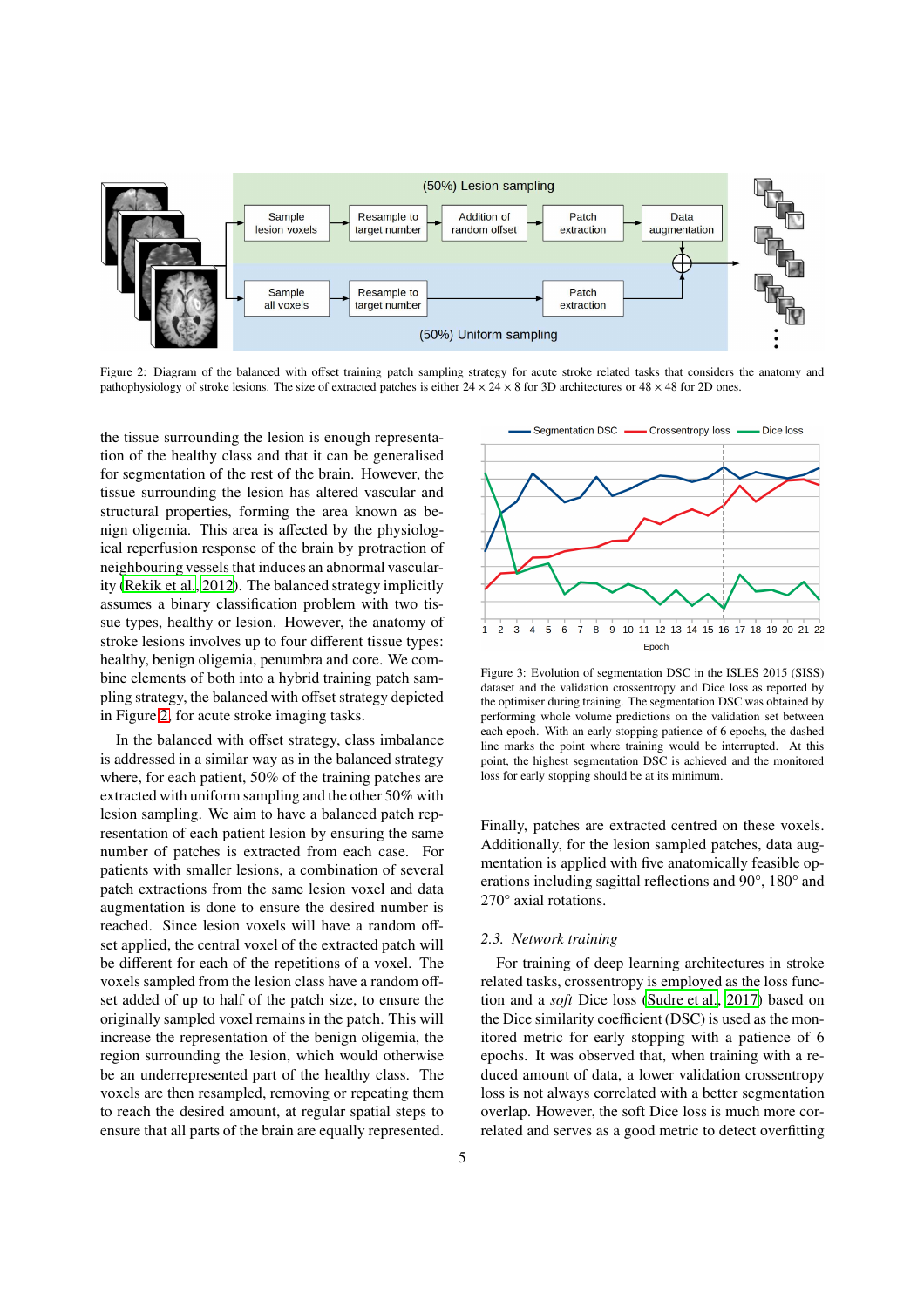<span id="page-4-0"></span>

Figure 2: Diagram of the balanced with offset training patch sampling strategy for acute stroke related tasks that considers the anatomy and pathophysiology of stroke lesions. The size of extracted patches is either  $24 \times 24 \times 8$  for 3D architectures or  $48 \times 48$  for 2D ones.

the tissue surrounding the lesion is enough representation of the healthy class and that it can be generalised for segmentation of the rest of the brain. However, the tissue surrounding the lesion has altered vascular and structural properties, forming the area known as benign oligemia. This area is affected by the physiological reperfusion response of the brain by protraction of neighbouring vessels that induces an abnormal vascularity [\(Rekik et al., 2012](#page-12-1)). The balanced strategy implicitly assumes a binary classification problem with two tissue types, healthy or lesion. However, the anatomy of stroke lesions involves up to four different tissue types: healthy, benign oligemia, penumbra and core. We combine elements of both into a hybrid training patch sampling strategy, the balanced with offset strategy depicted in Figure [2,](#page-4-0) for acute stroke imaging tasks.

In the balanced with offset strategy, class imbalance is addressed in a similar way as in the balanced strategy where, for each patient, 50% of the training patches are extracted with uniform sampling and the other 50% with lesion sampling. We aim to have a balanced patch representation of each patient lesion by ensuring the same number of patches is extracted from each case. For patients with smaller lesions, a combination of several patch extractions from the same lesion voxel and data augmentation is done to ensure the desired number is reached. Since lesion voxels will have a random offset applied, the central voxel of the extracted patch will be different for each of the repetitions of a voxel. The voxels sampled from the lesion class have a random offset added of up to half of the patch size, to ensure the originally sampled voxel remains in the patch. This will increase the representation of the benign oligemia, the region surrounding the lesion, which would otherwise be an underrepresented part of the healthy class. The voxels are then resampled, removing or repeating them to reach the desired amount, at regular spatial steps to ensure that all parts of the brain are equally represented.

<span id="page-4-1"></span>Segmentation DSC -- Crossentropy loss - $\blacksquare$  Dice loss 9 10 11 12 13 14 15 16 17 18 19 20 21 22  $\overline{4}$ -5  $\overline{6}$  $\overline{7}$  $\overline{3}$ 8 Epoch

Figure 3: Evolution of segmentation DSC in the ISLES 2015 (SISS) dataset and the validation crossentropy and Dice loss as reported by the optimiser during training. The segmentation DSC was obtained by performing whole volume predictions on the validation set between each epoch. With an early stopping patience of 6 epochs, the dashed line marks the point where training would be interrupted. At this point, the highest segmentation DSC is achieved and the monitored loss for early stopping should be at its minimum.

Finally, patches are extracted centred on these voxels. Additionally, for the lesion sampled patches, data augmentation is applied with five anatomically feasible operations including sagittal reflections and 90°, 180° and 270° axial rotations.

### *2.3. Network training*

For training of deep learning architectures in stroke related tasks, crossentropy is employed as the loss function and a *soft* Dice loss [\(Sudre et al.](#page-12-26), [2017\)](#page-12-26) based on the Dice similarity coefficient (DSC) is used as the monitored metric for early stopping with a patience of 6 epochs. It was observed that, when training with a reduced amount of data, a lower validation crossentropy loss is not always correlated with a better segmentation overlap. However, the soft Dice loss is much more correlated and serves as a good metric to detect overfitting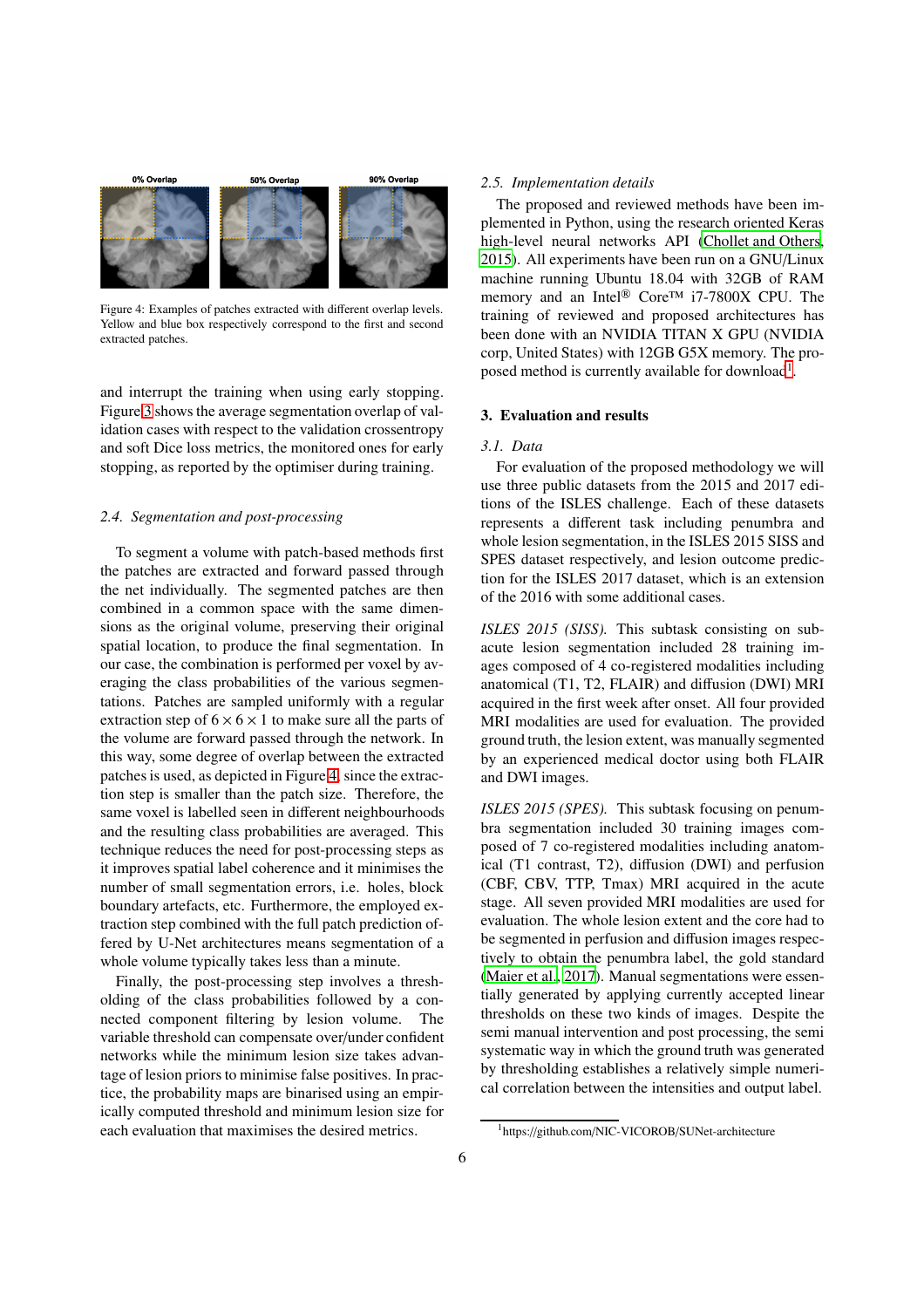<span id="page-5-0"></span>

Figure 4: Examples of patches extracted with different overlap levels. Yellow and blue box respectively correspond to the first and second extracted patches.

and interrupt the training when using early stopping. Figure [3](#page-4-1) shows the average segmentation overlap of validation cases with respect to the validation crossentropy and soft Dice loss metrics, the monitored ones for early stopping, as reported by the optimiser during training.

### *2.4. Segmentation and post-processing*

To segment a volume with patch-based methods first the patches are extracted and forward passed through the net individually. The segmented patches are then combined in a common space with the same dimensions as the original volume, preserving their original spatial location, to produce the final segmentation. In our case, the combination is performed per voxel by averaging the class probabilities of the various segmentations. Patches are sampled uniformly with a regular extraction step of  $6 \times 6 \times 1$  to make sure all the parts of the volume are forward passed through the network. In this way, some degree of overlap between the extracted patches is used, as depicted in Figure [4,](#page-5-0) since the extraction step is smaller than the patch size. Therefore, the same voxel is labelled seen in different neighbourhoods and the resulting class probabilities are averaged. This technique reduces the need for post-processing steps as it improves spatial label coherence and it minimises the number of small segmentation errors, i.e. holes, block boundary artefacts, etc. Furthermore, the employed extraction step combined with the full patch prediction offered by U-Net architectures means segmentation of a whole volume typically takes less than a minute.

Finally, the post-processing step involves a thresholding of the class probabilities followed by a connected component filtering by lesion volume. The variable threshold can compensate over/under confident networks while the minimum lesion size takes advantage of lesion priors to minimise false positives. In practice, the probability maps are binarised using an empirically computed threshold and minimum lesion size for each evaluation that maximises the desired metrics.

# *2.5. Implementation details*

The proposed and reviewed methods have been implemented in Python, using the research oriented Keras high-level neural networks API [\(Chollet and Others](#page-11-4), [2015\)](#page-11-4). All experiments have been run on a GNU/Linux machine running Ubuntu 18.04 with 32GB of RAM memory and an Intel<sup>®</sup> Core™ i7-7800X CPU. The training of reviewed and proposed architectures has been done with an NVIDIA TITAN X GPU (NVIDIA corp, United States) with 12GB G5X memory. The pro-posed method is currently available for download<sup>[1](#page-5-1)</sup>.

# 3. Evaluation and results

#### *3.1. Data*

For evaluation of the proposed methodology we will use three public datasets from the 2015 and 2017 editions of the ISLES challenge. Each of these datasets represents a different task including penumbra and whole lesion segmentation, in the ISLES 2015 SISS and SPES dataset respectively, and lesion outcome prediction for the ISLES 2017 dataset, which is an extension of the 2016 with some additional cases.

*ISLES 2015 (SISS).* This subtask consisting on subacute lesion segmentation included 28 training images composed of 4 co-registered modalities including anatomical (T1, T2, FLAIR) and diffusion (DWI) MRI acquired in the first week after onset. All four provided MRI modalities are used for evaluation. The provided ground truth, the lesion extent, was manually segmented by an experienced medical doctor using both FLAIR and DWI images.

*ISLES 2015 (SPES).* This subtask focusing on penumbra segmentation included 30 training images composed of 7 co-registered modalities including anatomical (T1 contrast, T2), diffusion (DWI) and perfusion (CBF, CBV, TTP, Tmax) MRI acquired in the acute stage. All seven provided MRI modalities are used for evaluation. The whole lesion extent and the core had to be segmented in perfusion and diffusion images respectively to obtain the penumbra label, the gold standard [\(Maier et al., 2017\)](#page-12-4). Manual segmentations were essentially generated by applying currently accepted linear thresholds on these two kinds of images. Despite the semi manual intervention and post processing, the semi systematic way in which the ground truth was generated by thresholding establishes a relatively simple numerical correlation between the intensities and output label.

<span id="page-5-1"></span><sup>1</sup>https://github.com/NIC-VICOROB/SUNet-architecture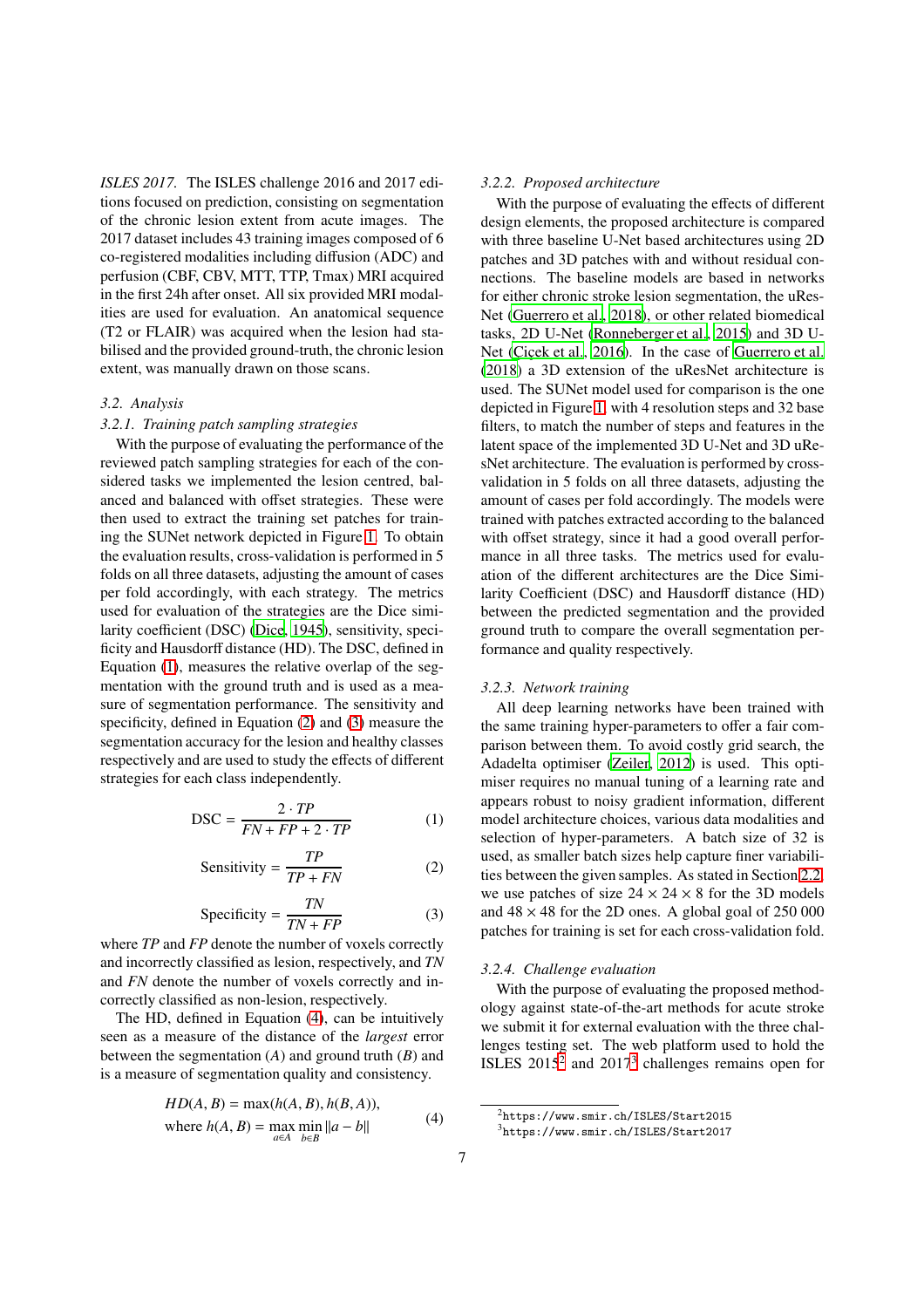*ISLES 2017.* The ISLES challenge 2016 and 2017 editions focused on prediction, consisting on segmentation of the chronic lesion extent from acute images. The 2017 dataset includes 43 training images composed of 6 co-registered modalities including diffusion (ADC) and perfusion (CBF, CBV, MTT, TTP, Tmax) MRI acquired in the first 24h after onset. All six provided MRI modalities are used for evaluation. An anatomical sequence (T2 or FLAIR) was acquired when the lesion had stabilised and the provided ground-truth, the chronic lesion extent, was manually drawn on those scans.

#### *3.2. Analysis*

### *3.2.1. Training patch sampling strategies*

With the purpose of evaluating the performance of the reviewed patch sampling strategies for each of the considered tasks we implemented the lesion centred, balanced and balanced with offset strategies. These were then used to extract the training set patches for training the SUNet network depicted in Figure [1.](#page-2-0) To obtain the evaluation results, cross-validation is performed in 5 folds on all three datasets, adjusting the amount of cases per fold accordingly, with each strategy. The metrics used for evaluation of the strategies are the Dice similarity coefficient (DSC) [\(Dice](#page-11-5), [1945](#page-11-5)), sensitivity, specificity and Hausdorff distance (HD). The DSC, defined in Equation [\(1\)](#page-6-0), measures the relative overlap of the segmentation with the ground truth and is used as a measure of segmentation performance. The sensitivity and specificity, defined in Equation [\(2\)](#page-6-1) and [\(3\)](#page-6-2) measure the segmentation accuracy for the lesion and healthy classes respectively and are used to study the effects of different strategies for each class independently.

<span id="page-6-0"></span>
$$
DSC = \frac{2 \cdot TP}{FN + FP + 2 \cdot TP}
$$
 (1)

<span id="page-6-1"></span>Sensitivity = 
$$
\frac{TP}{TP + FN}
$$
 (2)

<span id="page-6-2"></span>
$$
Specificity = \frac{TN}{TN + FP}
$$
 (3)

where *TP* and *FP* denote the number of voxels correctly and incorrectly classified as lesion, respectively, and *TN* and *FN* denote the number of voxels correctly and incorrectly classified as non-lesion, respectively.

The HD, defined in Equation [\(4\)](#page-6-3), can be intuitively seen as a measure of the distance of the *largest* error between the segmentation (*A*) and ground truth (*B*) and is a measure of segmentation quality and consistency.

<span id="page-6-3"></span>
$$
HD(A, B) = \max(h(A, B), h(B, A)),
$$
  
where  $h(A, B) = \max_{a \in A} \min_{b \in B} ||a - b||$  (4)

# *3.2.2. Proposed architecture*

With the purpose of evaluating the effects of different design elements, the proposed architecture is compared with three baseline U-Net based architectures using 2D patches and 3D patches with and without residual connections. The baseline models are based in networks for either chronic stroke lesion segmentation, the uRes-Net [\(Guerrero et al., 2018\)](#page-12-15), or other related biomedical tasks, 2D U-Net [\(Ronneberger et al.](#page-12-12), [2015\)](#page-12-12) and 3D U-Net (Cicek et al., 2016). In the case of [Guerrero et al.](#page-12-15) [\(2018\)](#page-12-15) a 3D extension of the uResNet architecture is used. The SUNet model used for comparison is the one depicted in Figure [1,](#page-2-0) with 4 resolution steps and 32 base filters, to match the number of steps and features in the latent space of the implemented 3D U-Net and 3D uResNet architecture. The evaluation is performed by crossvalidation in 5 folds on all three datasets, adjusting the amount of cases per fold accordingly. The models were trained with patches extracted according to the balanced with offset strategy, since it had a good overall performance in all three tasks. The metrics used for evaluation of the different architectures are the Dice Similarity Coefficient (DSC) and Hausdorff distance (HD) between the predicted segmentation and the provided ground truth to compare the overall segmentation performance and quality respectively.

# *3.2.3. Network training*

All deep learning networks have been trained with the same training hyper-parameters to offer a fair comparison between them. To avoid costly grid search, the Adadelta optimiser [\(Zeiler](#page-12-28), [2012\)](#page-12-28) is used. This optimiser requires no manual tuning of a learning rate and appears robust to noisy gradient information, different model architecture choices, various data modalities and selection of hyper-parameters. A batch size of 32 is used, as smaller batch sizes help capture finer variabilities between the given samples. As stated in Section [2.2,](#page-3-0) we use patches of size  $24 \times 24 \times 8$  for the 3D models and  $48 \times 48$  for the 2D ones. A global goal of  $250\,000$ patches for training is set for each cross-validation fold.

### *3.2.4. Challenge evaluation*

With the purpose of evaluating the proposed methodology against state-of-the-art methods for acute stroke we submit it for external evaluation with the three challenges testing set. The web platform used to hold the ISLES  $2015^2$  $2015^2$  and  $2017^3$  $2017^3$  challenges remains open for

 $^{2}$ https://www.smir.ch/ISLES/Start2015

<span id="page-6-5"></span><span id="page-6-4"></span><sup>3</sup>https://www.smir.ch/ISLES/Start2017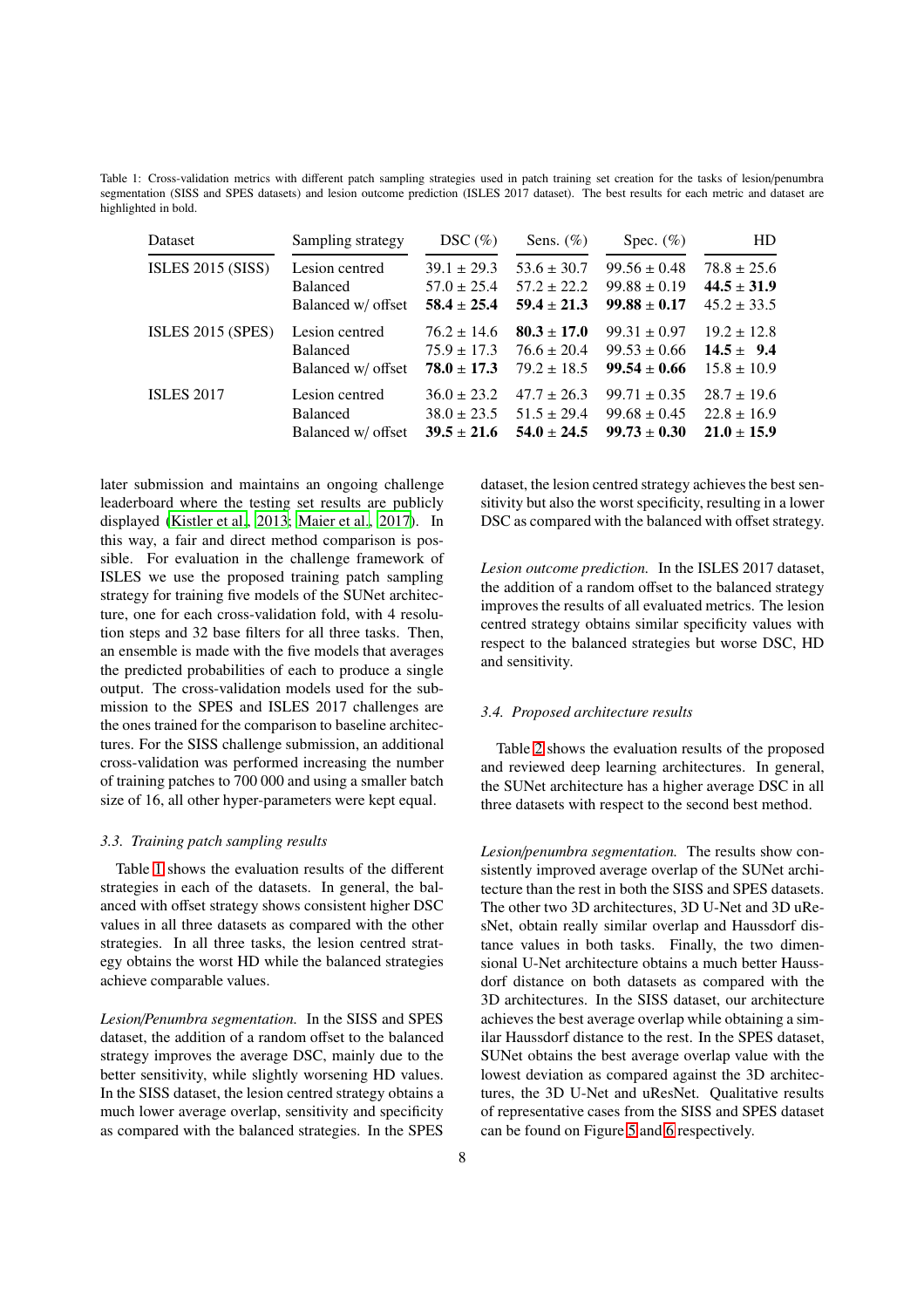<span id="page-7-0"></span>Table 1: Cross-validation metrics with different patch sampling strategies used in patch training set creation for the tasks of lesion/penumbra segmentation (SISS and SPES datasets) and lesion outcome prediction (ISLES 2017 dataset). The best results for each metric and dataset are highlighted in bold.

| Dataset                  | Sampling strategy  | $DSC(\%)$       | Sens. $(\%)$    | Spec. $(\%)$     | HD              |
|--------------------------|--------------------|-----------------|-----------------|------------------|-----------------|
| <b>ISLES 2015 (SISS)</b> | Lesion centred     | $39.1 \pm 29.3$ | $53.6 \pm 30.7$ | $99.56 \pm 0.48$ | $78.8 \pm 25.6$ |
|                          | <b>Balanced</b>    | $57.0 \pm 25.4$ | $57.2 \pm 22.2$ | $99.88 \pm 0.19$ | $44.5 \pm 31.9$ |
|                          | Balanced w/ offset | $58.4 \pm 25.4$ | $59.4 \pm 21.3$ | $99.88 \pm 0.17$ | $45.2 \pm 33.5$ |
| ISLES $2015$ (SPES)      | Lesion centred     | $76.2 \pm 14.6$ | $80.3 \pm 17.0$ | $99.31 \pm 0.97$ | $19.2 \pm 12.8$ |
|                          | <b>Balanced</b>    | $75.9 \pm 17.3$ | $76.6 \pm 20.4$ | $99.53 \pm 0.66$ | $14.5 \pm 9.4$  |
|                          | Balanced w/ offset | $78.0 \pm 17.3$ | $79.2 \pm 18.5$ | $99.54 \pm 0.66$ | $15.8 \pm 10.9$ |
| <b>ISLES 2017</b>        | Lesion centred     | $36.0 \pm 23.2$ | $47.7 \pm 26.3$ | $99.71 \pm 0.35$ | $28.7 \pm 19.6$ |
|                          | <b>Balanced</b>    | $38.0 \pm 23.5$ | $51.5 \pm 29.4$ | $99.68 \pm 0.45$ | $22.8 \pm 16.9$ |
|                          | Balanced w/ offset | $39.5 \pm 21.6$ | $54.0 \pm 24.5$ | $99.73 \pm 0.30$ | $21.0 \pm 15.9$ |

later submission and maintains an ongoing challenge leaderboard where the testing set results are publicly displayed [\(Kistler et al.](#page-12-29), [2013;](#page-12-29) [Maier et al., 2017](#page-12-4)). In this way, a fair and direct method comparison is possible. For evaluation in the challenge framework of ISLES we use the proposed training patch sampling strategy for training five models of the SUNet architecture, one for each cross-validation fold, with 4 resolution steps and 32 base filters for all three tasks. Then, an ensemble is made with the five models that averages the predicted probabilities of each to produce a single output. The cross-validation models used for the submission to the SPES and ISLES 2017 challenges are the ones trained for the comparison to baseline architectures. For the SISS challenge submission, an additional cross-validation was performed increasing the number of training patches to 700 000 and using a smaller batch size of 16, all other hyper-parameters were kept equal.

### *3.3. Training patch sampling results*

Table [1](#page-7-0) shows the evaluation results of the different strategies in each of the datasets. In general, the balanced with offset strategy shows consistent higher DSC values in all three datasets as compared with the other strategies. In all three tasks, the lesion centred strategy obtains the worst HD while the balanced strategies achieve comparable values.

*Lesion*/*Penumbra segmentation.* In the SISS and SPES dataset, the addition of a random offset to the balanced strategy improves the average DSC, mainly due to the better sensitivity, while slightly worsening HD values. In the SISS dataset, the lesion centred strategy obtains a much lower average overlap, sensitivity and specificity as compared with the balanced strategies. In the SPES

dataset, the lesion centred strategy achieves the best sensitivity but also the worst specificity, resulting in a lower DSC as compared with the balanced with offset strategy.

*Lesion outcome prediction.* In the ISLES 2017 dataset, the addition of a random offset to the balanced strategy improves the results of all evaluated metrics. The lesion centred strategy obtains similar specificity values with respect to the balanced strategies but worse DSC, HD and sensitivity.

#### *3.4. Proposed architecture results*

Table [2](#page-8-0) shows the evaluation results of the proposed and reviewed deep learning architectures. In general, the SUNet architecture has a higher average DSC in all three datasets with respect to the second best method.

*Lesion*/*penumbra segmentation.* The results show consistently improved average overlap of the SUNet architecture than the rest in both the SISS and SPES datasets. The other two 3D architectures, 3D U-Net and 3D uResNet, obtain really similar overlap and Haussdorf distance values in both tasks. Finally, the two dimensional U-Net architecture obtains a much better Haussdorf distance on both datasets as compared with the 3D architectures. In the SISS dataset, our architecture achieves the best average overlap while obtaining a similar Haussdorf distance to the rest. In the SPES dataset, SUNet obtains the best average overlap value with the lowest deviation as compared against the 3D architectures, the 3D U-Net and uResNet. Qualitative results of representative cases from the SISS and SPES dataset can be found on Figure [5](#page-8-1) and [6](#page-8-2) respectively.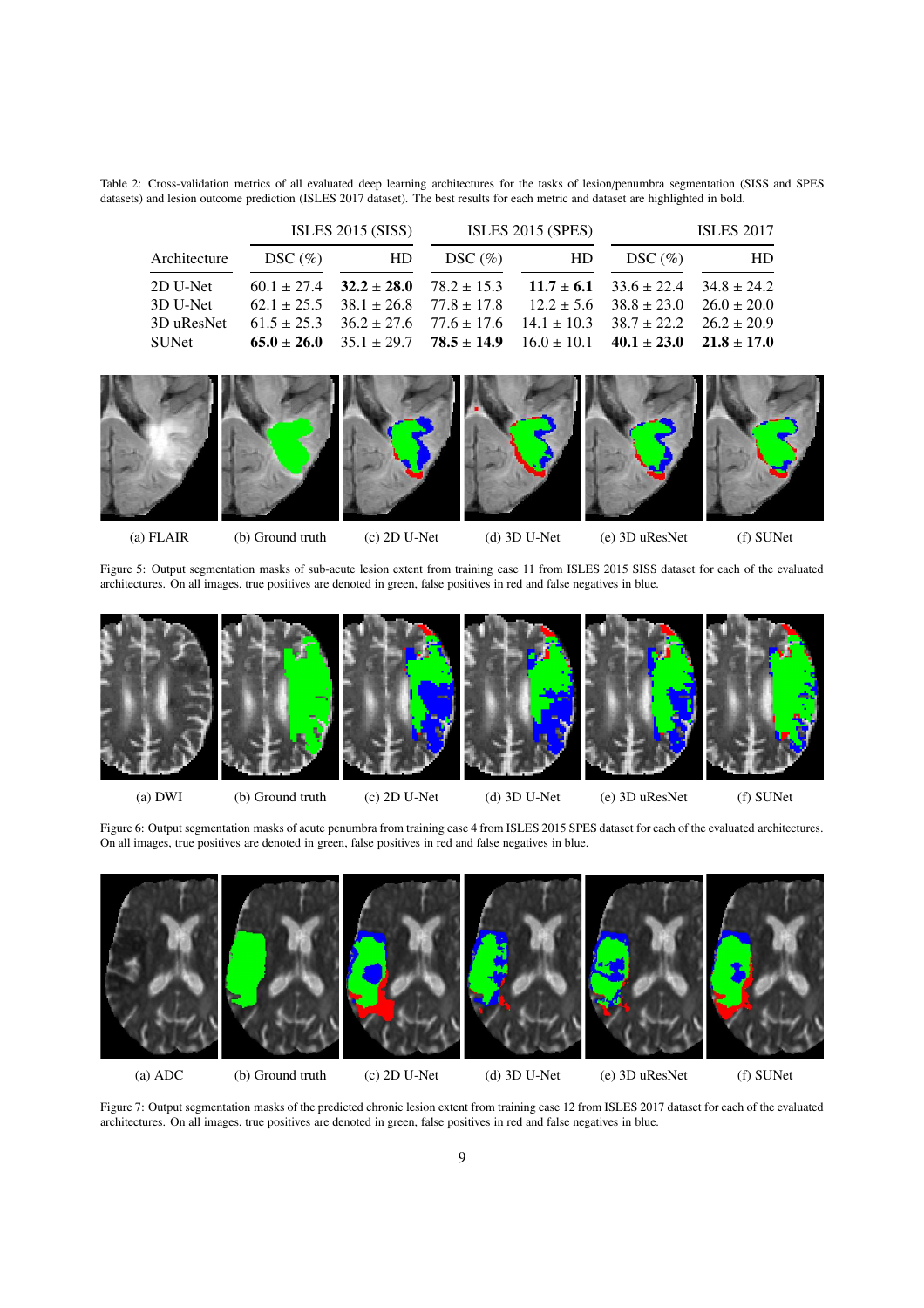<span id="page-8-0"></span>Table 2: Cross-validation metrics of all evaluated deep learning architectures for the tasks of lesion/penumbra segmentation (SISS and SPES datasets) and lesion outcome prediction (ISLES 2017 dataset). The best results for each metric and dataset are highlighted in bold.

|              | ISLES $2015$ (SISS) |    | <b>ISLES 2015 (SPES)</b>                                                                        |      | <b>ISLES 2017</b> |    |
|--------------|---------------------|----|-------------------------------------------------------------------------------------------------|------|-------------------|----|
| Architecture | DSC $(\% )$         | HD | $DSC(\%)$                                                                                       | – HD | $DSC(\%)$         | HD |
| 2D U-Net     |                     |    | $60.1 \pm 27.4$ $32.2 \pm 28.0$ $78.2 \pm 15.3$ $11.7 \pm 6.1$ $33.6 \pm 22.4$ $34.8 \pm 24.2$  |      |                   |    |
| 3D U-Net     |                     |    | $62.1 \pm 25.5$ $38.1 \pm 26.8$ $77.8 \pm 17.8$ $12.2 \pm 5.6$ $38.8 \pm 23.0$ $26.0 \pm 20.0$  |      |                   |    |
| 3D uResNet   |                     |    | $61.5 \pm 25.3$ $36.2 \pm 27.6$ $77.6 \pm 17.6$ $14.1 \pm 10.3$ $38.7 \pm 22.2$ $26.2 \pm 20.9$ |      |                   |    |
| SUNet        |                     |    | 65.0 ± 26.0 $35.1 \pm 29.7$ $78.5 \pm 14.9$ $16.0 \pm 10.1$ $40.1 \pm 23.0$ $21.8 \pm 17.0$     |      |                   |    |

<span id="page-8-1"></span>

<span id="page-8-2"></span>architectures. On all images, true positives are denoted in green, false positives in red and false negatives in blue.

(a) FLAIR (b) Ground truth (c) 2D U-Net (d) 3D U-Net (e) 3D uResNet (f) SUNet

Figure 5: Output segmentation masks of sub-acute lesion extent from training case 11 from ISLES 2015 SISS dataset for each of the evaluated



(a) DWI (b) Ground truth (c) 2D U-Net (d) 3D U-Net (e) 3D uResNet (f) SUNet

Figure 6: Output segmentation masks of acute penumbra from training case 4 from ISLES 2015 SPES dataset for each of the evaluated architectures. On all images, true positives are denoted in green, false positives in red and false negatives in blue.

<span id="page-8-3"></span>

Figure 7: Output segmentation masks of the predicted chronic lesion extent from training case 12 from ISLES 2017 dataset for each of the evaluated architectures. On all images, true positives are denoted in green, false positives in red and false negatives in blue.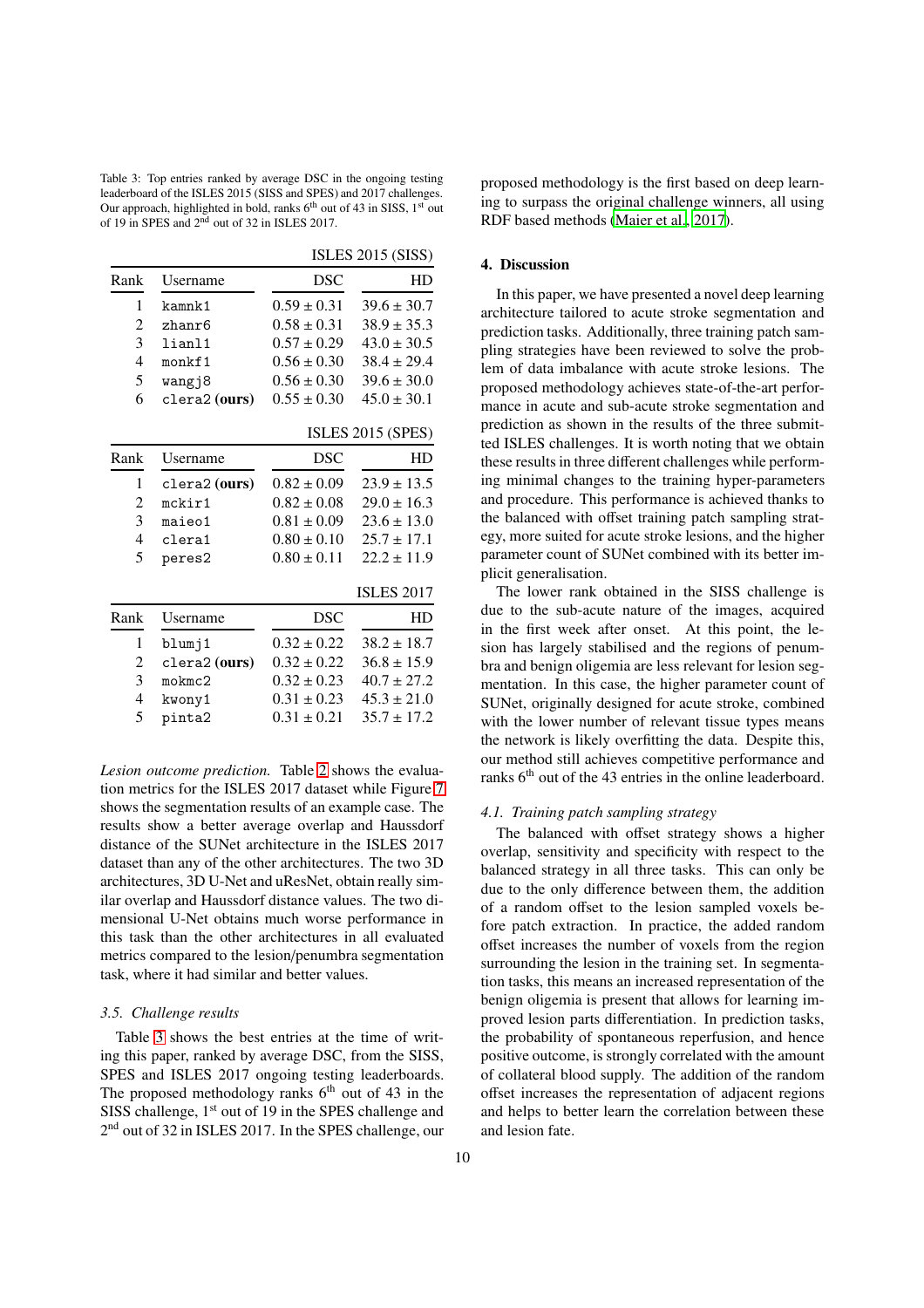<span id="page-9-0"></span>Table 3: Top entries ranked by average DSC in the ongoing testing leaderboard of the ISLES 2015 (SISS and SPES) and 2017 challenges. Our approach, highlighted in bold, ranks  $6<sup>th</sup>$  out of 43 in SISS,  $1<sup>st</sup>$  out of 19 in SPES and 2nd out of 32 in ISLES 2017.

|                |                              | <b>ISLES 2015 (SISS)</b> |                   |  |
|----------------|------------------------------|--------------------------|-------------------|--|
| Rank           | Username                     | <b>DSC</b>               | HD                |  |
| 1              | kamnk1                       | $0.59 \pm 0.31$          | $39.6 \pm 30.7$   |  |
| 2              | zhanr6                       | $0.58 \pm 0.31$          | $38.9 \pm 35.3$   |  |
| 3              | lianl1                       | $0.57 \pm 0.29$          | $43.0 \pm 30.5$   |  |
| $\overline{4}$ | monkf1                       | $0.56 \pm 0.30$          | $38.4 \pm 29.4$   |  |
| 5              | wangj8                       | $0.56 \pm 0.30$          | $39.6 \pm 30.0$   |  |
| 6              | $\frac{1}{2}$ (ours)         | $0.55 \pm 0.30$          | $45.0 \pm 30.1$   |  |
|                |                              |                          | ISLES 2015 (SPES) |  |
| Rank           | Username                     | <b>DSC</b>               | HD                |  |
| 1              | $\text{clera2}(\text{ours})$ | $0.82 \pm 0.09$          | $23.9 \pm 13.5$   |  |
| $\overline{c}$ | mckir1                       | $0.82 \pm 0.08$          | $29.0 \pm 16.3$   |  |
| 3              | maieo1                       | $0.81 \pm 0.09$          | $23.6 \pm 13.0$   |  |
| 4              | clera1                       | $0.80 \pm 0.10$          | $25.7 \pm 17.1$   |  |
| 5              | peres2                       | $0.80 \pm 0.11$          | $22.2 \pm 11.9$   |  |
|                |                              |                          | <b>ISLES 2017</b> |  |
| Rank           | Username                     | <b>DSC</b>               | HD                |  |
| 1              | blumj1                       | $0.32 \pm 0.22$          | $38.2 \pm 18.7$   |  |
| 2              | clera2 (ours)                | $0.32 \pm 0.22$          | $36.8 \pm 15.9$   |  |
| 3              | mokmc2                       | $0.32 \pm 0.23$          | $40.7 \pm 27.2$   |  |
| 4              | kwony1                       | $0.31 \pm 0.23$          | $45.3 \pm 21.0$   |  |
| 5              | pinta2                       | $0.31 \pm 0.21$          | $35.7 \pm 17.2$   |  |

*Lesion outcome prediction.* Table [2](#page-8-0) shows the evaluation metrics for the ISLES 2017 dataset while Figure [7](#page-8-3) shows the segmentation results of an example case. The results show a better average overlap and Haussdorf distance of the SUNet architecture in the ISLES 2017 dataset than any of the other architectures. The two 3D architectures, 3D U-Net and uResNet, obtain really similar overlap and Haussdorf distance values. The two dimensional U-Net obtains much worse performance in this task than the other architectures in all evaluated metrics compared to the lesion/penumbra segmentation task, where it had similar and better values.

### *3.5. Challenge results*

Table [3](#page-9-0) shows the best entries at the time of writing this paper, ranked by average DSC, from the SISS, SPES and ISLES 2017 ongoing testing leaderboards. The proposed methodology ranks  $6<sup>th</sup>$  out of 43 in the SISS challenge,  $1<sup>st</sup>$  out of 19 in the SPES challenge and 2<sup>nd</sup> out of 32 in ISLES 2017. In the SPES challenge, our

proposed methodology is the first based on deep learning to surpass the original challenge winners, all using RDF based methods [\(Maier et al., 2017\)](#page-12-4).

# 4. Discussion

In this paper, we have presented a novel deep learning architecture tailored to acute stroke segmentation and prediction tasks. Additionally, three training patch sampling strategies have been reviewed to solve the problem of data imbalance with acute stroke lesions. The proposed methodology achieves state-of-the-art performance in acute and sub-acute stroke segmentation and prediction as shown in the results of the three submitted ISLES challenges. It is worth noting that we obtain these results in three different challenges while performing minimal changes to the training hyper-parameters and procedure. This performance is achieved thanks to the balanced with offset training patch sampling strategy, more suited for acute stroke lesions, and the higher parameter count of SUNet combined with its better implicit generalisation.

The lower rank obtained in the SISS challenge is due to the sub-acute nature of the images, acquired in the first week after onset. At this point, the lesion has largely stabilised and the regions of penumbra and benign oligemia are less relevant for lesion segmentation. In this case, the higher parameter count of SUNet, originally designed for acute stroke, combined with the lower number of relevant tissue types means the network is likely overfitting the data. Despite this, our method still achieves competitive performance and ranks 6<sup>th</sup> out of the 43 entries in the online leaderboard.

#### *4.1. Training patch sampling strategy*

The balanced with offset strategy shows a higher overlap, sensitivity and specificity with respect to the balanced strategy in all three tasks. This can only be due to the only difference between them, the addition of a random offset to the lesion sampled voxels before patch extraction. In practice, the added random offset increases the number of voxels from the region surrounding the lesion in the training set. In segmentation tasks, this means an increased representation of the benign oligemia is present that allows for learning improved lesion parts differentiation. In prediction tasks, the probability of spontaneous reperfusion, and hence positive outcome, is strongly correlated with the amount of collateral blood supply. The addition of the random offset increases the representation of adjacent regions and helps to better learn the correlation between these and lesion fate.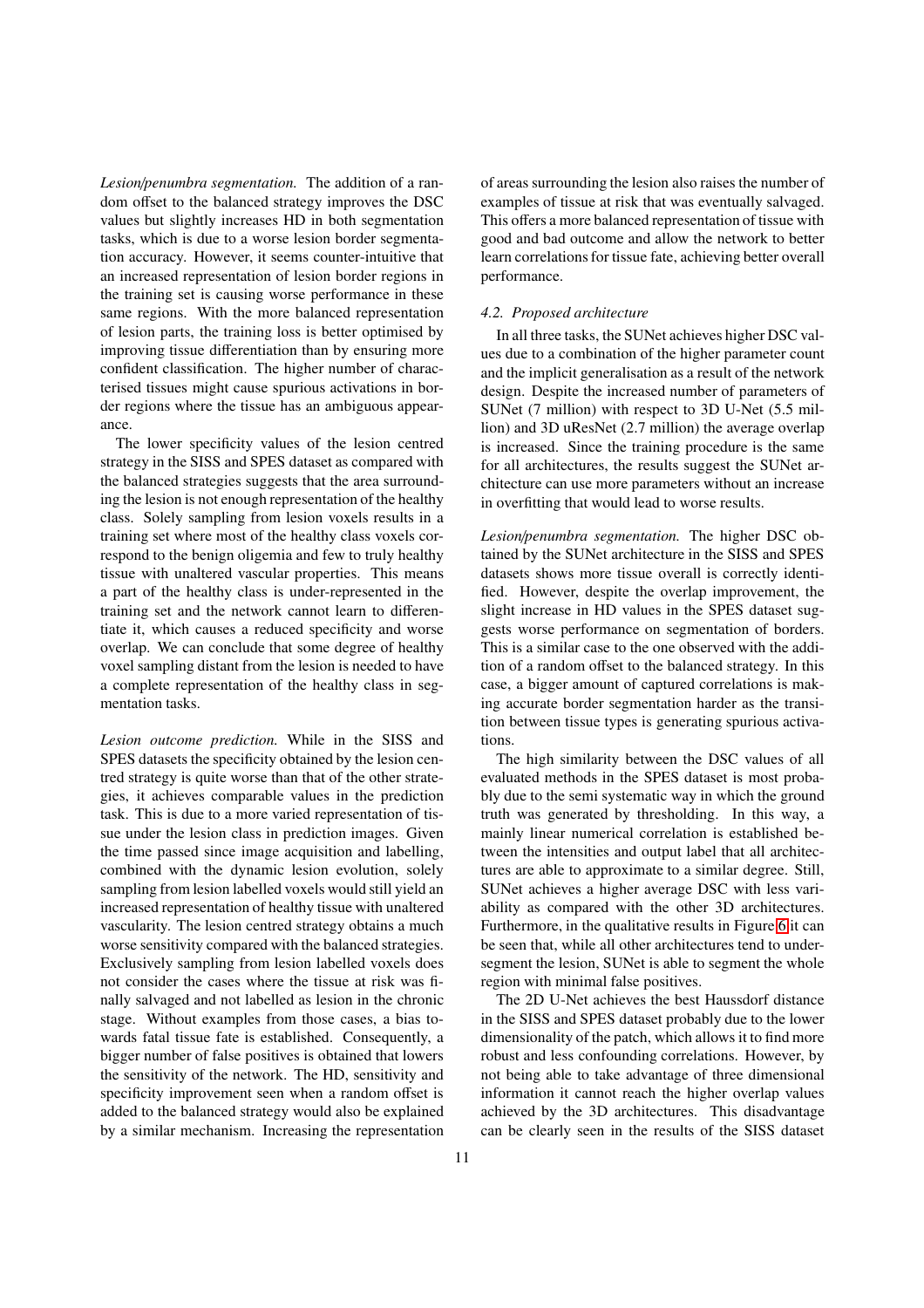*Lesion*/*penumbra segmentation.* The addition of a random offset to the balanced strategy improves the DSC values but slightly increases HD in both segmentation tasks, which is due to a worse lesion border segmentation accuracy. However, it seems counter-intuitive that an increased representation of lesion border regions in the training set is causing worse performance in these same regions. With the more balanced representation of lesion parts, the training loss is better optimised by improving tissue differentiation than by ensuring more confident classification. The higher number of characterised tissues might cause spurious activations in border regions where the tissue has an ambiguous appearance.

The lower specificity values of the lesion centred strategy in the SISS and SPES dataset as compared with the balanced strategies suggests that the area surrounding the lesion is not enough representation of the healthy class. Solely sampling from lesion voxels results in a training set where most of the healthy class voxels correspond to the benign oligemia and few to truly healthy tissue with unaltered vascular properties. This means a part of the healthy class is under-represented in the training set and the network cannot learn to differentiate it, which causes a reduced specificity and worse overlap. We can conclude that some degree of healthy voxel sampling distant from the lesion is needed to have a complete representation of the healthy class in segmentation tasks.

*Lesion outcome prediction.* While in the SISS and SPES datasets the specificity obtained by the lesion centred strategy is quite worse than that of the other strategies, it achieves comparable values in the prediction task. This is due to a more varied representation of tissue under the lesion class in prediction images. Given the time passed since image acquisition and labelling, combined with the dynamic lesion evolution, solely sampling from lesion labelled voxels would still yield an increased representation of healthy tissue with unaltered vascularity. The lesion centred strategy obtains a much worse sensitivity compared with the balanced strategies. Exclusively sampling from lesion labelled voxels does not consider the cases where the tissue at risk was finally salvaged and not labelled as lesion in the chronic stage. Without examples from those cases, a bias towards fatal tissue fate is established. Consequently, a bigger number of false positives is obtained that lowers the sensitivity of the network. The HD, sensitivity and specificity improvement seen when a random offset is added to the balanced strategy would also be explained by a similar mechanism. Increasing the representation

of areas surrounding the lesion also raises the number of examples of tissue at risk that was eventually salvaged. This offers a more balanced representation of tissue with good and bad outcome and allow the network to better learn correlations for tissue fate, achieving better overall performance.

### *4.2. Proposed architecture*

In all three tasks, the SUNet achieves higher DSC values due to a combination of the higher parameter count and the implicit generalisation as a result of the network design. Despite the increased number of parameters of SUNet (7 million) with respect to 3D U-Net (5.5 million) and 3D uResNet (2.7 million) the average overlap is increased. Since the training procedure is the same for all architectures, the results suggest the SUNet architecture can use more parameters without an increase in overfitting that would lead to worse results.

*Lesion*/*penumbra segmentation.* The higher DSC obtained by the SUNet architecture in the SISS and SPES datasets shows more tissue overall is correctly identified. However, despite the overlap improvement, the slight increase in HD values in the SPES dataset suggests worse performance on segmentation of borders. This is a similar case to the one observed with the addition of a random offset to the balanced strategy. In this case, a bigger amount of captured correlations is making accurate border segmentation harder as the transition between tissue types is generating spurious activations.

The high similarity between the DSC values of all evaluated methods in the SPES dataset is most probably due to the semi systematic way in which the ground truth was generated by thresholding. In this way, a mainly linear numerical correlation is established between the intensities and output label that all architectures are able to approximate to a similar degree. Still, SUNet achieves a higher average DSC with less variability as compared with the other 3D architectures. Furthermore, in the qualitative results in Figure [6](#page-8-2) it can be seen that, while all other architectures tend to undersegment the lesion, SUNet is able to segment the whole region with minimal false positives.

The 2D U-Net achieves the best Haussdorf distance in the SISS and SPES dataset probably due to the lower dimensionality of the patch, which allows it to find more robust and less confounding correlations. However, by not being able to take advantage of three dimensional information it cannot reach the higher overlap values achieved by the 3D architectures. This disadvantage can be clearly seen in the results of the SISS dataset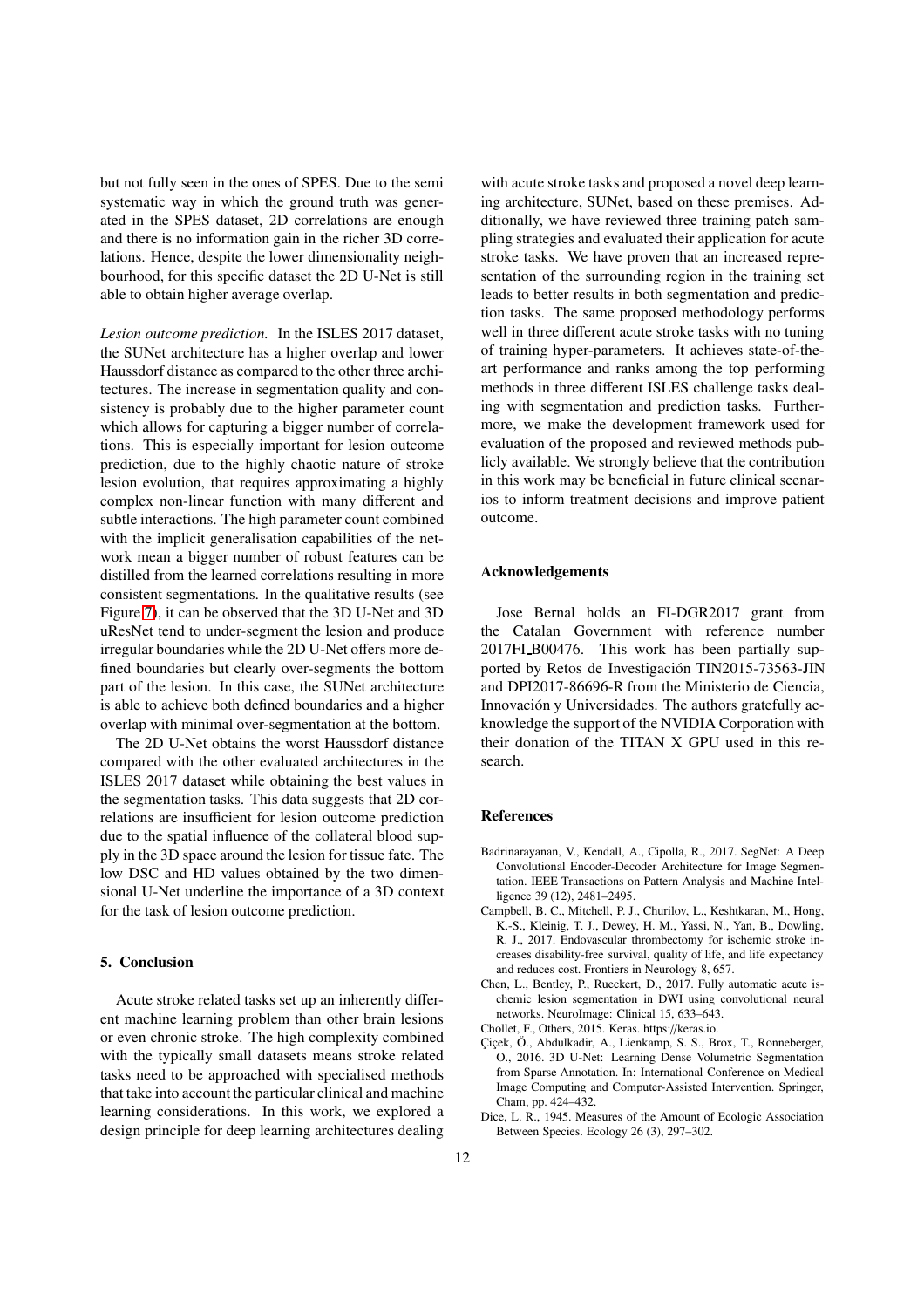but not fully seen in the ones of SPES. Due to the semi systematic way in which the ground truth was generated in the SPES dataset, 2D correlations are enough and there is no information gain in the richer 3D correlations. Hence, despite the lower dimensionality neighbourhood, for this specific dataset the 2D U-Net is still able to obtain higher average overlap.

*Lesion outcome prediction.* In the ISLES 2017 dataset, the SUNet architecture has a higher overlap and lower Haussdorf distance as compared to the other three architectures. The increase in segmentation quality and consistency is probably due to the higher parameter count which allows for capturing a bigger number of correlations. This is especially important for lesion outcome prediction, due to the highly chaotic nature of stroke lesion evolution, that requires approximating a highly complex non-linear function with many different and subtle interactions. The high parameter count combined with the implicit generalisation capabilities of the network mean a bigger number of robust features can be distilled from the learned correlations resulting in more consistent segmentations. In the qualitative results (see Figure [7\)](#page-8-3), it can be observed that the 3D U-Net and 3D uResNet tend to under-segment the lesion and produce irregular boundaries while the 2D U-Net offers more defined boundaries but clearly over-segments the bottom part of the lesion. In this case, the SUNet architecture is able to achieve both defined boundaries and a higher overlap with minimal over-segmentation at the bottom.

The 2D U-Net obtains the worst Haussdorf distance compared with the other evaluated architectures in the ISLES 2017 dataset while obtaining the best values in the segmentation tasks. This data suggests that 2D correlations are insufficient for lesion outcome prediction due to the spatial influence of the collateral blood supply in the 3D space around the lesion for tissue fate. The low DSC and HD values obtained by the two dimensional U-Net underline the importance of a 3D context for the task of lesion outcome prediction.

### 5. Conclusion

Acute stroke related tasks set up an inherently different machine learning problem than other brain lesions or even chronic stroke. The high complexity combined with the typically small datasets means stroke related tasks need to be approached with specialised methods that take into account the particular clinical and machine learning considerations. In this work, we explored a design principle for deep learning architectures dealing

with acute stroke tasks and proposed a novel deep learning architecture, SUNet, based on these premises. Additionally, we have reviewed three training patch sampling strategies and evaluated their application for acute stroke tasks. We have proven that an increased representation of the surrounding region in the training set leads to better results in both segmentation and prediction tasks. The same proposed methodology performs well in three different acute stroke tasks with no tuning of training hyper-parameters. It achieves state-of-theart performance and ranks among the top performing methods in three different ISLES challenge tasks dealing with segmentation and prediction tasks. Furthermore, we make the development framework used for evaluation of the proposed and reviewed methods publicly available. We strongly believe that the contribution in this work may be beneficial in future clinical scenarios to inform treatment decisions and improve patient outcome.

### Acknowledgements

Jose Bernal holds an FI-DGR2017 grant from the Catalan Government with reference number 2017FI B00476. This work has been partially supported by Retos de Investigación TIN2015-73563-JIN and DPI2017-86696-R from the Ministerio de Ciencia, Innovación y Universidades. The authors gratefully acknowledge the support of the NVIDIA Corporation with their donation of the TITAN X GPU used in this research.

### References

- <span id="page-11-2"></span>Badrinarayanan, V., Kendall, A., Cipolla, R., 2017. SegNet: A Deep Convolutional Encoder-Decoder Architecture for Image Segmentation. IEEE Transactions on Pattern Analysis and Machine Intelligence 39 (12), 2481–2495.
- <span id="page-11-0"></span>Campbell, B. C., Mitchell, P. J., Churilov, L., Keshtkaran, M., Hong, K.-S., Kleinig, T. J., Dewey, H. M., Yassi, N., Yan, B., Dowling, R. J., 2017. Endovascular thrombectomy for ischemic stroke increases disability-free survival, quality of life, and life expectancy and reduces cost. Frontiers in Neurology 8, 657.
- <span id="page-11-3"></span>Chen, L., Bentley, P., Rueckert, D., 2017. Fully automatic acute ischemic lesion segmentation in DWI using convolutional neural networks. NeuroImage: Clinical 15, 633–643.
- <span id="page-11-4"></span>Chollet, F., Others, 2015. Keras. https://keras.io.
- <span id="page-11-1"></span>Çiçek, Ö., Abdulkadir, A., Lienkamp, S. S., Brox, T., Ronneberger, O., 2016. 3D U-Net: Learning Dense Volumetric Segmentation from Sparse Annotation. In: International Conference on Medical Image Computing and Computer-Assisted Intervention. Springer, Cham, pp. 424–432.
- <span id="page-11-5"></span>Dice, L. R., 1945. Measures of the Amount of Ecologic Association Between Species. Ecology 26 (3), 297–302.